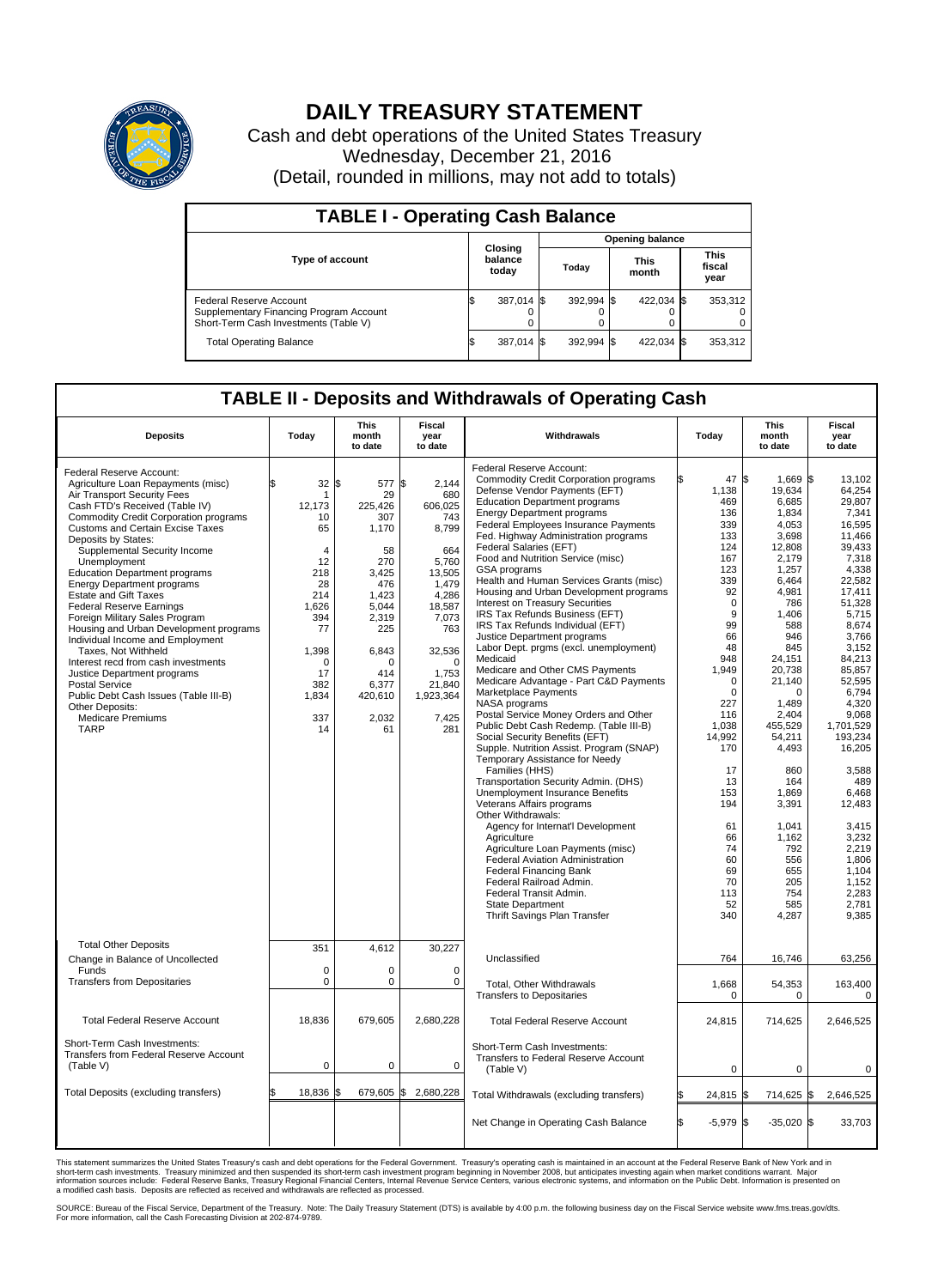

## **DAILY TREASURY STATEMENT**

Cash and debt operations of the United States Treasury Wednesday, December 21, 2016 (Detail, rounded in millions, may not add to totals)

| <b>TABLE I - Operating Cash Balance</b>                                                                     |    |                             |  |                        |  |                      |  |                               |  |  |  |
|-------------------------------------------------------------------------------------------------------------|----|-----------------------------|--|------------------------|--|----------------------|--|-------------------------------|--|--|--|
|                                                                                                             |    |                             |  | <b>Opening balance</b> |  |                      |  |                               |  |  |  |
| <b>Type of account</b>                                                                                      |    | Closing<br>balance<br>today |  | Today                  |  | <b>This</b><br>month |  | <b>This</b><br>fiscal<br>year |  |  |  |
| Federal Reserve Account<br>Supplementary Financing Program Account<br>Short-Term Cash Investments (Table V) |    | 387,014 \$                  |  | 392.994 \$             |  | 422.034 \$           |  | 353,312                       |  |  |  |
| <b>Total Operating Balance</b>                                                                              | IЭ | 387,014 \$                  |  | 392.994 \$             |  | 422,034 \$           |  | 353,312                       |  |  |  |

## **TABLE II - Deposits and Withdrawals of Operating Cash**

| <b>Deposits</b>                                                                                                                                                                                                                                                                                                                                                                                                                                                                                                                                                                                                                                                                                                                                                                         | Today                                                                                                                                                      | <b>This</b><br>month<br>to date                                                                                                                                             | <b>Fiscal</b><br>year<br>to date                                                                                                                                                       | Withdrawals                                                                                                                                                                                                                                                                                                                                                                                                                                                                                                                                                                                                                                                                                                                                                                                                                                                                                                                                                                                                                                                                                                                                                                                                                                                                                                                                                                                                        | Today                                                                                                                                                                                                                                                                                   | <b>This</b><br>month<br>to date                                                                                                                                                                                                                                                                                                          | <b>Fiscal</b><br>year<br>to date                                                                                                                                                                                                                                                                                                                                     |
|-----------------------------------------------------------------------------------------------------------------------------------------------------------------------------------------------------------------------------------------------------------------------------------------------------------------------------------------------------------------------------------------------------------------------------------------------------------------------------------------------------------------------------------------------------------------------------------------------------------------------------------------------------------------------------------------------------------------------------------------------------------------------------------------|------------------------------------------------------------------------------------------------------------------------------------------------------------|-----------------------------------------------------------------------------------------------------------------------------------------------------------------------------|----------------------------------------------------------------------------------------------------------------------------------------------------------------------------------------|--------------------------------------------------------------------------------------------------------------------------------------------------------------------------------------------------------------------------------------------------------------------------------------------------------------------------------------------------------------------------------------------------------------------------------------------------------------------------------------------------------------------------------------------------------------------------------------------------------------------------------------------------------------------------------------------------------------------------------------------------------------------------------------------------------------------------------------------------------------------------------------------------------------------------------------------------------------------------------------------------------------------------------------------------------------------------------------------------------------------------------------------------------------------------------------------------------------------------------------------------------------------------------------------------------------------------------------------------------------------------------------------------------------------|-----------------------------------------------------------------------------------------------------------------------------------------------------------------------------------------------------------------------------------------------------------------------------------------|------------------------------------------------------------------------------------------------------------------------------------------------------------------------------------------------------------------------------------------------------------------------------------------------------------------------------------------|----------------------------------------------------------------------------------------------------------------------------------------------------------------------------------------------------------------------------------------------------------------------------------------------------------------------------------------------------------------------|
| Federal Reserve Account:<br>Agriculture Loan Repayments (misc)<br>Air Transport Security Fees<br>Cash FTD's Received (Table IV)<br><b>Commodity Credit Corporation programs</b><br>Customs and Certain Excise Taxes<br>Deposits by States:<br>Supplemental Security Income<br>Unemployment<br><b>Education Department programs</b><br><b>Energy Department programs</b><br><b>Estate and Gift Taxes</b><br><b>Federal Reserve Earnings</b><br>Foreign Military Sales Program<br>Housing and Urban Development programs<br>Individual Income and Employment<br>Taxes, Not Withheld<br>Interest recd from cash investments<br>Justice Department programs<br><b>Postal Service</b><br>Public Debt Cash Issues (Table III-B)<br>Other Deposits:<br><b>Medicare Premiums</b><br><b>TARP</b> | 32<br>$\mathbf 1$<br>12,173<br>10<br>65<br>$\overline{4}$<br>12<br>218<br>28<br>214<br>1,626<br>394<br>77<br>1,398<br>0<br>17<br>382<br>1,834<br>337<br>14 | 577 \$<br>\$<br>29<br>225,426<br>307<br>1,170<br>58<br>270<br>3,425<br>476<br>1,423<br>5.044<br>2,319<br>225<br>6,843<br>$\Omega$<br>414<br>6,377<br>420,610<br>2,032<br>61 | 2,144<br>680<br>606,025<br>743<br>8,799<br>664<br>5,760<br>13,505<br>1.479<br>4,286<br>18,587<br>7,073<br>763<br>32,536<br>$\mathbf 0$<br>1,753<br>21,840<br>1,923,364<br>7,425<br>281 | Federal Reserve Account:<br><b>Commodity Credit Corporation programs</b><br>Defense Vendor Payments (EFT)<br><b>Education Department programs</b><br><b>Energy Department programs</b><br><b>Federal Employees Insurance Payments</b><br>Fed. Highway Administration programs<br>Federal Salaries (EFT)<br>Food and Nutrition Service (misc)<br>GSA programs<br>Health and Human Services Grants (misc)<br>Housing and Urban Development programs<br>Interest on Treasury Securities<br>IRS Tax Refunds Business (EFT)<br>IRS Tax Refunds Individual (EFT)<br>Justice Department programs<br>Labor Dept. prgms (excl. unemployment)<br>Medicaid<br>Medicare and Other CMS Payments<br>Medicare Advantage - Part C&D Payments<br>Marketplace Payments<br>NASA programs<br>Postal Service Money Orders and Other<br>Public Debt Cash Redemp. (Table III-B)<br>Social Security Benefits (EFT)<br>Supple. Nutrition Assist. Program (SNAP)<br>Temporary Assistance for Needy<br>Families (HHS)<br>Transportation Security Admin. (DHS)<br><b>Unemployment Insurance Benefits</b><br>Veterans Affairs programs<br>Other Withdrawals:<br>Agency for Internat'l Development<br>Agriculture<br>Agriculture Loan Payments (misc)<br><b>Federal Aviation Administration</b><br><b>Federal Financing Bank</b><br>Federal Railroad Admin.<br>Federal Transit Admin.<br><b>State Department</b><br>Thrift Savings Plan Transfer | 47 \$<br>1,138<br>469<br>136<br>339<br>133<br>124<br>167<br>123<br>339<br>92<br>$\mathbf 0$<br>9<br>99<br>66<br>48<br>948<br>1,949<br>$\mathbf 0$<br>$\Omega$<br>227<br>116<br>1,038<br>14,992<br>170<br>17<br>13<br>153<br>194<br>61<br>66<br>74<br>60<br>69<br>70<br>113<br>52<br>340 | 1,669 \$<br>19,634<br>6.685<br>1,834<br>4.053<br>3,698<br>12,808<br>2,179<br>1,257<br>6,464<br>4,981<br>786<br>1,406<br>588<br>946<br>845<br>24,151<br>20,738<br>21,140<br>$\Omega$<br>1,489<br>2.404<br>455,529<br>54,211<br>4,493<br>860<br>164<br>1,869<br>3,391<br>1,041<br>1,162<br>792<br>556<br>655<br>205<br>754<br>585<br>4,287 | 13,102<br>64,254<br>29.807<br>7,341<br>16.595<br>11,466<br>39.433<br>7,318<br>4,338<br>22,582<br>17.411<br>51,328<br>5,715<br>8.674<br>3,766<br>3,152<br>84,213<br>85,857<br>52,595<br>6.794<br>4,320<br>9.068<br>1,701,529<br>193,234<br>16,205<br>3,588<br>489<br>6,468<br>12,483<br>3,415<br>3,232<br>2,219<br>1,806<br>1.104<br>1,152<br>2,283<br>2,781<br>9,385 |
| <b>Total Other Deposits</b><br>Change in Balance of Uncollected<br>Funds<br><b>Transfers from Depositaries</b>                                                                                                                                                                                                                                                                                                                                                                                                                                                                                                                                                                                                                                                                          | 351<br>$\mathbf 0$<br>$\mathbf 0$                                                                                                                          | 4,612<br>0<br>0                                                                                                                                                             | 30,227<br>$\mathbf 0$<br>0                                                                                                                                                             | Unclassified<br>Total, Other Withdrawals<br><b>Transfers to Depositaries</b>                                                                                                                                                                                                                                                                                                                                                                                                                                                                                                                                                                                                                                                                                                                                                                                                                                                                                                                                                                                                                                                                                                                                                                                                                                                                                                                                       | 764<br>1,668<br>$\mathbf 0$                                                                                                                                                                                                                                                             | 16,746<br>54,353<br>0                                                                                                                                                                                                                                                                                                                    | 63,256<br>163,400<br>0                                                                                                                                                                                                                                                                                                                                               |
| <b>Total Federal Reserve Account</b>                                                                                                                                                                                                                                                                                                                                                                                                                                                                                                                                                                                                                                                                                                                                                    | 18.836                                                                                                                                                     | 679.605                                                                                                                                                                     | 2,680,228                                                                                                                                                                              | <b>Total Federal Reserve Account</b>                                                                                                                                                                                                                                                                                                                                                                                                                                                                                                                                                                                                                                                                                                                                                                                                                                                                                                                                                                                                                                                                                                                                                                                                                                                                                                                                                                               | 24,815                                                                                                                                                                                                                                                                                  | 714,625                                                                                                                                                                                                                                                                                                                                  | 2,646,525                                                                                                                                                                                                                                                                                                                                                            |
| Short-Term Cash Investments:<br><b>Transfers from Federal Reserve Account</b><br>(Table V)                                                                                                                                                                                                                                                                                                                                                                                                                                                                                                                                                                                                                                                                                              | $\mathbf 0$                                                                                                                                                | 0                                                                                                                                                                           | 0                                                                                                                                                                                      | Short-Term Cash Investments:<br>Transfers to Federal Reserve Account<br>(Table V)                                                                                                                                                                                                                                                                                                                                                                                                                                                                                                                                                                                                                                                                                                                                                                                                                                                                                                                                                                                                                                                                                                                                                                                                                                                                                                                                  | $\mathbf 0$                                                                                                                                                                                                                                                                             | $\mathbf 0$                                                                                                                                                                                                                                                                                                                              | 0                                                                                                                                                                                                                                                                                                                                                                    |
| Total Deposits (excluding transfers)                                                                                                                                                                                                                                                                                                                                                                                                                                                                                                                                                                                                                                                                                                                                                    | 18,836                                                                                                                                                     | 679,605 \$                                                                                                                                                                  | 2,680,228                                                                                                                                                                              | Total Withdrawals (excluding transfers)                                                                                                                                                                                                                                                                                                                                                                                                                                                                                                                                                                                                                                                                                                                                                                                                                                                                                                                                                                                                                                                                                                                                                                                                                                                                                                                                                                            | 24,815 \$                                                                                                                                                                                                                                                                               | 714,625 \$                                                                                                                                                                                                                                                                                                                               | 2,646,525                                                                                                                                                                                                                                                                                                                                                            |
|                                                                                                                                                                                                                                                                                                                                                                                                                                                                                                                                                                                                                                                                                                                                                                                         |                                                                                                                                                            |                                                                                                                                                                             |                                                                                                                                                                                        | Net Change in Operating Cash Balance                                                                                                                                                                                                                                                                                                                                                                                                                                                                                                                                                                                                                                                                                                                                                                                                                                                                                                                                                                                                                                                                                                                                                                                                                                                                                                                                                                               | $-5,979$ \$<br>ß.                                                                                                                                                                                                                                                                       | $-35,020$ \$                                                                                                                                                                                                                                                                                                                             | 33,703                                                                                                                                                                                                                                                                                                                                                               |

This statement summarizes the United States Treasury's cash and debt operations for the Federal Government. Treasury's operating cash is maintained in an account at the Federal Reserve Bank of New York and in<br>short-term ca

SOURCE: Bureau of the Fiscal Service, Department of the Treasury. Note: The Daily Treasury Statement (DTS) is available by 4:00 p.m. the following business day on the Fiscal Service website www.fms.treas.gov/dts.<br>For more